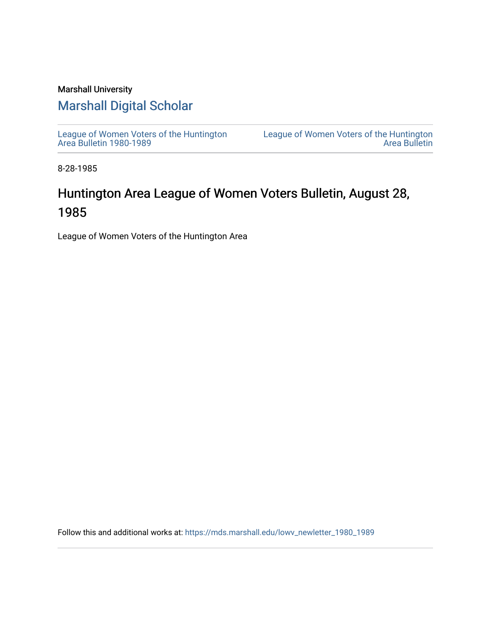### Marshall University

### [Marshall Digital Scholar](https://mds.marshall.edu/)

[League of Women Voters of the Huntington](https://mds.marshall.edu/lowv_newletter_1980_1989) [Area Bulletin 1980-1989](https://mds.marshall.edu/lowv_newletter_1980_1989) 

[League of Women Voters of the Huntington](https://mds.marshall.edu/lowv_newsletter)  [Area Bulletin](https://mds.marshall.edu/lowv_newsletter) 

8-28-1985

## Huntington Area League of Women Voters Bulletin, August 28, 1985

League of Women Voters of the Huntington Area

Follow this and additional works at: [https://mds.marshall.edu/lowv\\_newletter\\_1980\\_1989](https://mds.marshall.edu/lowv_newletter_1980_1989?utm_source=mds.marshall.edu%2Flowv_newletter_1980_1989%2F49&utm_medium=PDF&utm_campaign=PDFCoverPages)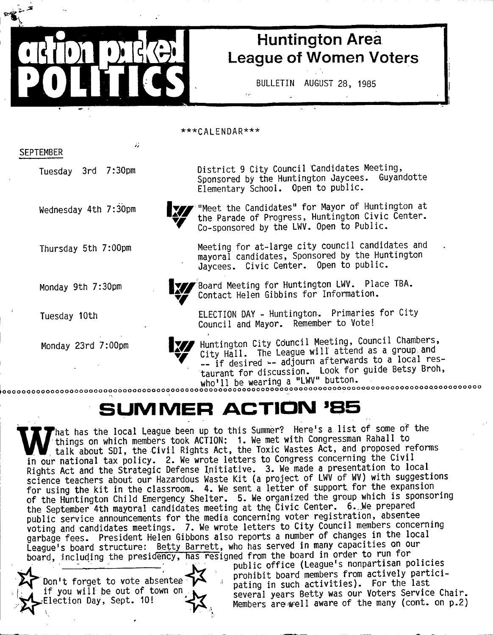## Huntington Area League of Women Voters

BULLETIN AUGUST 28, 1985

\*\*\*CALENDAR\*\*\* Tuesday 3rd 7:30pm District 9 City Council Candidates Meeting, Sponsored by the Huntington Jaycees. Guyandotte Elementary School. Open to public. Co-sponsored by the LWV. Open to Public. Jaycees. Civic Center. Open to public. Contact Helen Gibbins for Information.

> ELECTION DAY - Huntington. Primaries for City Council and Mayor. Remember to Vote!

Monday 23rd 7:00pm Huntington City Council Meeting, Council Chambers, City Hall. The League will attend as a group and -- if desired -- adjourn afterwards to a local restaurant for discussion. Look for guide Betsy Broh, who'll be wearing a "LWV" button.<br>http://www.companamerica.com/hara-and/www.com/hara-and/www.com/hara-and/www.com/hara-and/www.com/hara-and/www.

# SUMMER ACTION '85

W That has the local League been up to this Summer? Here's a list of some of the things on which members took ACTION: 1. We met with Congressman Rahall to talk about SDI, the Civil Rights Act, the Toxic Wastes Act, and pro  $\mathsf{\small \textsf{P}}$ hat has the local League been up to this Summer? Here's a list of some of the things on which members took ACTION: 1. We met with Congressman Rahall to<br>talk about SDI, the Civil Rights Act, the Toxic Wastes Act, and proposed reforms  $R$ ights  $Act$  and the Strategic Defense Initiative. 3. We made a presentation to log  $\sim$  Siccordian the S transmut and the S in itial time S transmuth supposition is supposited a present and the S transmuth supposition to local time a problem in the supposite series in the supposite supposite to local ten for using the kit in the classroom. 4. We sent a letter of support for the expansion of the Huntington Child Emergency Shelter. 5. We organized the group which is sponsoring the September 4th mayoral candidates meeting at the Civic Center. 6. We prepared public service announcements for the media concerning voter registration, absentee voting and candidates meetings. 7. We wrote letters to City Council members concerning garbage fees. President Helen Gibbons also reports a number of changes in the local League's board structure: Betty Barrett, who has served in many capacities on our board, including the presidency, has resigned from the board in order to run for

Don't forget to vote absentee if you will be out of town on. Election Day, Sept. 10!

public office (League's nonpartisan policies prohibit board members from actively participating in such activities). For the last several years Betty was our Voters Service Chair. Members are well aware of the many (cont. on p.2)

SEPTEMBER

odiminister

poirrics

Wednesday 4th 7:30pm

Thursday 5th 7:00pm

Monday 9th 7:30pm

Tuesday 10th

**We will the Candidates" for Mayor of Huntington at** the Parade of Progress, Huntington Civic Center.

Meeting for at-large city council candidates and mayoral candidates. Sponsored by the Huntington

**V/ Board Meeting for Huntington LWV. Place TBA.** 



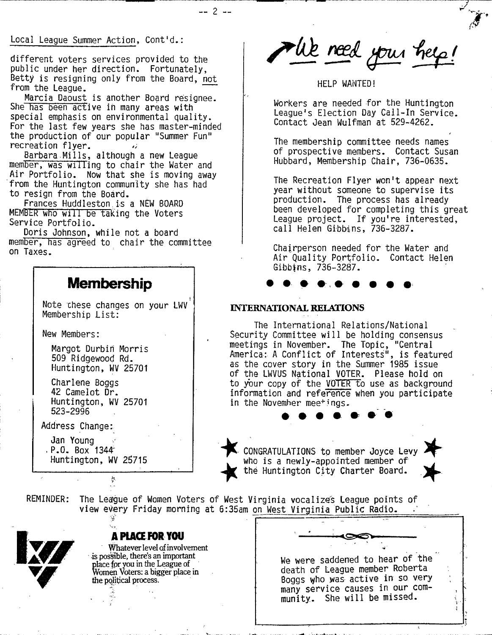Local League Summer Action, Cont'd.:

different voters services provided to the public under her direction. Fortunately, Betty is resigning only from the Board, not from the League.

\_\_ **2** -

Marcia Daoust is another Board resignee. She has been active in many areas with special emphasis on environmental quality. For the last few years she has master-minded the production of our popular "Summer Fun" recreation flyer.

Barbara Mills, although a new League member, was willing to chair the Water and Air Portfolio. Now that she is moving away from the Huntington community she has had to resign from the Board.

Frances Huddleston is a NEW BOARD MEMBER who will be taking the Voters Service Portfolio.

Doris Johnson, while not a board member, has agreed to chair the committee on Taxes.

### Membership

Note chese changes on your LWV Membership List:

New Members:

Margot Durbifi Morris 509 Ridgewood Rd. Huntington, WV 25701

Charlene Boggs 42 Camelot Dr. Huntington, WV 25701 523-2996

Address Change:

Jan Young  $P.0. Box 1344$ Huntington, WV 25715

ķ

REMINDER: The League of Women Voters of West Virginia vocalizes League points of view every Friday morning at 6:35am on West Virginia Public Radio.



**A PLACE FOR YOU**<br>
Whatever level of involv<br>
is possible, there's an importa<br>
place for you in the League of<br>
Women Voters: a bigger place **W hatever level of involvement •is posable, there's an important place fpr you in the League of Women Voters: a bigger place in the pqlitical process.**

The need your help!

### HELP WANTED!

Workers are needed for the Huntington League's Election Day Call-In Service. Contact Jean Wulfman at 529-4262.

The membership committee needs names of prospective members. Contact Susan Hubbard, Membership Chair, 736-0635.

The Recreation Flyer won't appear next year without someone to supervise its production. The process has already been developed for completing this great League project. If you're interested, call Helen Gibbins, 736-3287.

Chairperson needed for the Water and Air Quality Portfolio. Contact Helen Gibbins, 736-3287.

### **INTERNATIONAL RELATIONS**

The International Relations/National Security Committee will be holding consensus meetings in November. The Topic, "Central America: A Conflict of Interests", is featured as the cover story in the Summer 1985 issue of the LWVUS National VOTER. Please hold on to your copy of the VOTER to use as background information and reference when you participate in the November meetings.

CONGRATULATIONS to member Joyce Levy who is a newly-appointed member of the Huntington City Charter Board.

> We were saddened to hear of the death of League member Roberta Boggs who was- active in so very many service causes in our community. She will be missed.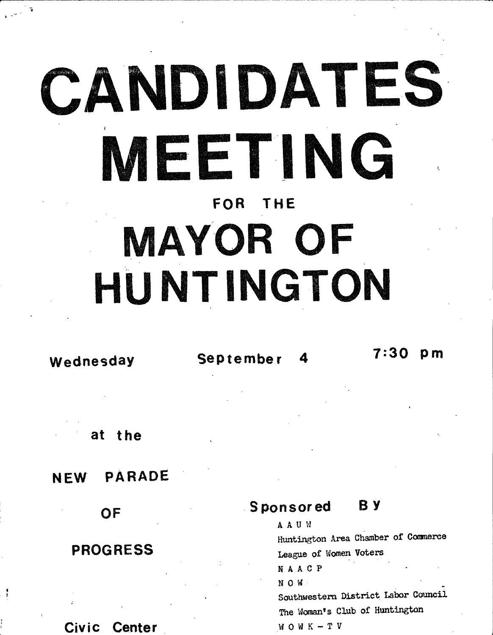# **CANDIDATES MEETING** FOR THE MAYOR OF **HUNTINGTON**

at the

### NEW PARADE

**OF** 

### PROGRESS

### Civic Center

**I J**

# Wednesday **September 4** 7:30 pm

### Sponsored B Y

**A A U VJ Htintington Area Chamber of Canmerc© League of Women Voters R A A C P •**  $N$  O  $M$ Southwestern District Labor Council The Woman's Club of Huntington **W 0 W K - T V**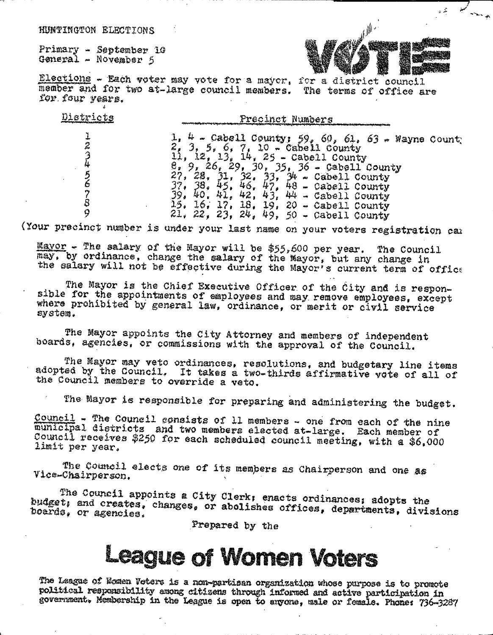HUNTINGTON ELECTIONS

Primary - September 10 General - November 5

Districts

 $\ddot{\mathbf{r}}$  $\hat{z}$ 

うみ うる 78

 $\boldsymbol{Q}$ 



تقرير

Elections - Each voter may vote for a mayor, for a district council member and for two at-large council members. The terms of office are for four years.

> Precinct Numbers 1,  $4 -$  Cabell County; 59, 60, 61, 63 - Wayne Count;<br>
> 2, 3, 5, 6, 7, 10 - Cabell County<br>
> 11, 12, 13, 14, 25 - Cabell County<br>
> 2, 9, 26, 29, 30, 35, 36 - Cabell County<br>
> 27, 28, 31, 32, 33, 34 - Cabell County<br>
> 37, 38, 45, 46  $21.22.23.24.49.50 - Cabell country$

(Your precinct number is under your last name on your voters registration car

Mayor - The salary of the Mayor will be \$55,600 per year. The Council may, by ordinance, change the salary of the Mayor, but any change in the salary will not be effective during the Mayor's current term of office

The Mayor is the Chief Executive Officer of the City and is responsible for the appointments of employees and may remove employees, except where prohibited by general law, ordinance, or merit or civil service system.

The Mayor appoints the City Attorney and members of independent boards, agencies, or commissions with the approval of the Council.

The Mayor may veto ordinances, resolutions, and budgetary line items adopted by the Council. It takes a two-thirds affirmative vote of all of the Council members to override a veto.

The Mayor is responsible for preparing and administering the budget.

Council - The Council consists of 11 members - one from each of the nine municipal districts and two members elected at-large. Each member of Council receives \$250 for each scheduled council meeting, with a \$6,000 limit per year.

The Council elects one of its members as Chairperson and one as Vice-Chairperson.

The Council appoints a City Clerk; enacts ordinances; adopts the budget; and creates, changes, or abolishes offices, departments, divisions boards, or agencies.

Prepared by the

# **League of Women Voters**

The League of Women Voters is a non-partisan organization whose purpose is to promote political responsibility among citizens through informed and active participation in government. Membership in the League is open to anyone, male or female. Phone: 736-3287